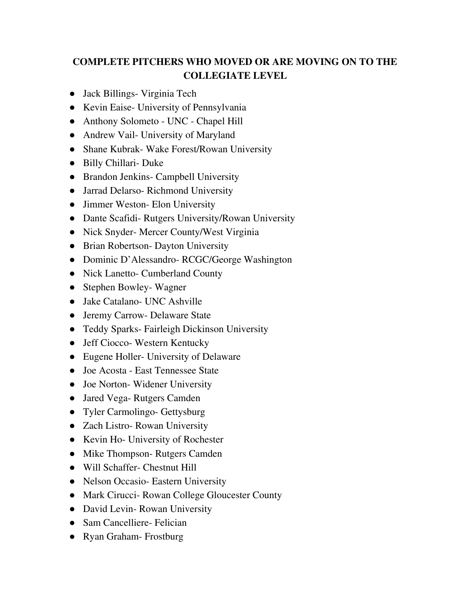## **COMPLETE PITCHERS WHO MOVED OR ARE MOVING ON TO THE COLLEGIATE LEVEL**

- Jack Billings- Virginia Tech
- Kevin Eaise- University of Pennsylvania
- Anthony Solometo UNC Chapel Hill
- Andrew Vail- University of Maryland
- Shane Kubrak- Wake Forest/Rowan University
- Billy Chillari- Duke
- Brandon Jenkins- Campbell University
- Jarrad Delarso- Richmond University
- Jimmer Weston- Elon University
- Dante Scafidi- Rutgers University/Rowan University
- Nick Snyder- Mercer County/West Virginia
- Brian Robertson- Dayton University
- Dominic D'Alessandro- RCGC/George Washington
- Nick Lanetto- Cumberland County
- Stephen Bowley-Wagner
- Jake Catalano- UNC Ashville
- Jeremy Carrow- Delaware State
- Teddy Sparks- Fairleigh Dickinson University
- Jeff Ciocco- Western Kentucky
- Eugene Holler- University of Delaware
- Joe Acosta East Tennessee State
- Joe Norton-Widener University
- Jared Vega- Rutgers Camden
- Tyler Carmolingo- Gettysburg
- Zach Listro- Rowan University
- Kevin Ho- University of Rochester
- Mike Thompson- Rutgers Camden
- Will Schaffer- Chestnut Hill
- Nelson Occasio- Eastern University
- Mark Cirucci- Rowan College Gloucester County
- David Levin-Rowan University
- Sam Cancelliere- Felician
- Ryan Graham-Frostburg